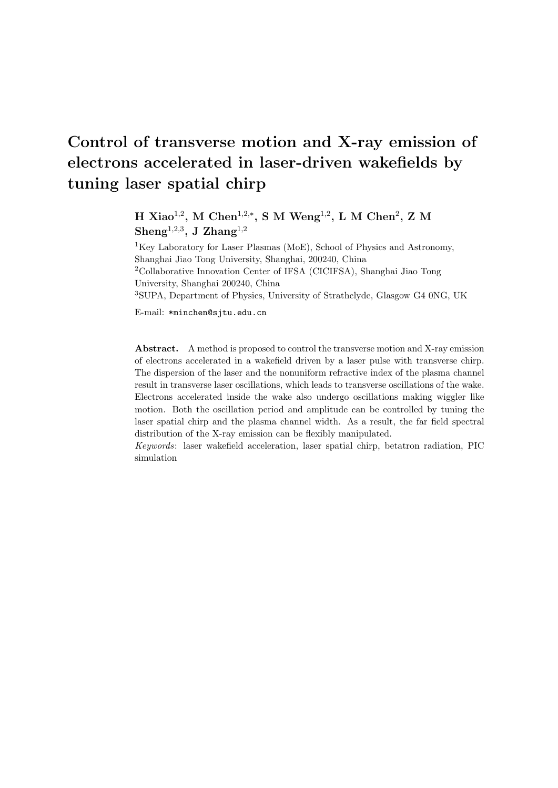# **Control of transverse motion and X-ray emission of electrons accelerated in laser-driven wakefields by tuning laser spatial chirp**

**H** Xiao<sup>1,2</sup>, M Chen<sup>1,2,\*</sup>, S M Weng<sup>1,2</sup>, L M Chen<sup>2</sup>, Z M **Sheng**<sup>1</sup>*,*2*,*<sup>3</sup> **, J Zhang**<sup>1</sup>*,*<sup>2</sup>

<sup>1</sup>Key Laboratory for Laser Plasmas (MoE), School of Physics and Astronomy, Shanghai Jiao Tong University, Shanghai, 200240, China <sup>2</sup>Collaborative Innovation Center of IFSA (CICIFSA), Shanghai Jiao Tong University, Shanghai 200240, China <sup>3</sup>SUPA, Department of Physics, University of Strathclyde, Glasgow G4 0NG, UK

E-mail: \*minchen@sjtu.edu.cn

**Abstract.** A method is proposed to control the transverse motion and X-ray emission of electrons accelerated in a wakefield driven by a laser pulse with transverse chirp. The dispersion of the laser and the nonuniform refractive index of the plasma channel result in transverse laser oscillations, which leads to transverse oscillations of the wake. Electrons accelerated inside the wake also undergo oscillations making wiggler like motion. Both the oscillation period and amplitude can be controlled by tuning the laser spatial chirp and the plasma channel width. As a result, the far field spectral distribution of the X-ray emission can be flexibly manipulated.

*Keywords*: laser wakefield acceleration, laser spatial chirp, betatron radiation, PIC simulation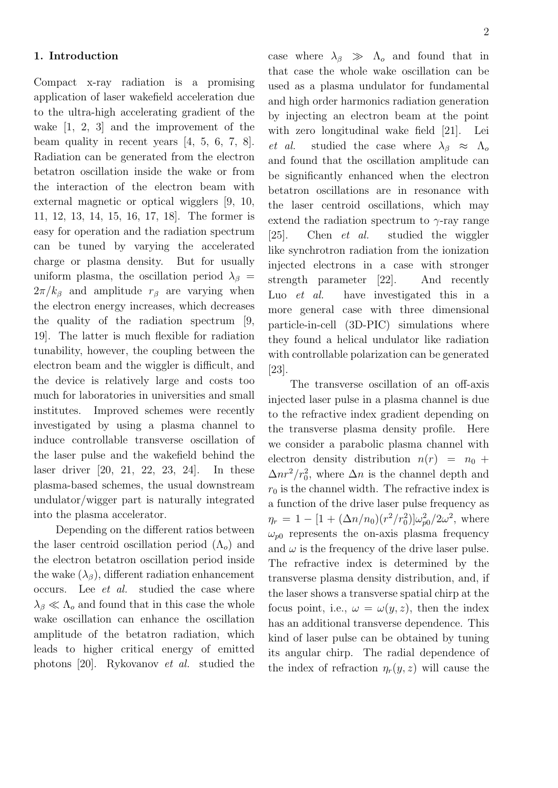### **1. Introduction**

Compact x-ray radiation is a promising application of laser wakefield acceleration due to the ultra-high accelerating gradient of the wake [1, 2, 3] and the improvement of the beam quality in recent years [4, 5, 6, 7, 8]. Radiation can be generated from the electron betatron oscillation inside the wake or from the interaction of the electron beam with external magnetic or optical wigglers [9, 10, 11, 12, 13, 14, 15, 16, 17, 18]. The former is easy for operation and the radiation spectrum can be tuned by varying the accelerated charge or plasma density. But for usually uniform plasma, the oscillation period  $\lambda_{\beta}$  =  $2\pi/k_{\beta}$  and amplitude  $r_{\beta}$  are varying when the electron energy increases, which decreases the quality of the radiation spectrum [9, 19]. The latter is much flexible for radiation tunability, however, the coupling between the electron beam and the wiggler is difficult, and the device is relatively large and costs too much for laboratories in universities and small institutes. Improved schemes were recently investigated by using a plasma channel to induce controllable transverse oscillation of the laser pulse and the wakefield behind the laser driver [20, 21, 22, 23, 24]. In these plasma-based schemes, the usual downstream undulator/wigger part is naturally integrated into the plasma accelerator.

Depending on the different ratios between the laser centroid oscillation period  $(\Lambda_o)$  and the electron betatron oscillation period inside the wake  $(\lambda_{\beta})$ , different radiation enhancement occurs. Lee *et al.* studied the case where  $\lambda$ <sup>*β*</sup>  $\ll$   $\Lambda$ <sup>*ρ*</sup> and found that in this case the whole wake oscillation can enhance the oscillation amplitude of the betatron radiation, which leads to higher critical energy of emitted photons [20]. Rykovanov *et al.* studied the 2

case where  $\lambda_{\beta} \gg \Lambda_o$  and found that in that case the whole wake oscillation can be used as a plasma undulator for fundamental and high order harmonics radiation generation by injecting an electron beam at the point with zero longitudinal wake field [21]. Lei *et al.* studied the case where  $\lambda_{\beta} \approx \Lambda_o$ and found that the oscillation amplitude can be significantly enhanced when the electron betatron oscillations are in resonance with the laser centroid oscillations, which may extend the radiation spectrum to  $\gamma$ -ray range [25]. Chen *et al.* studied the wiggler like synchrotron radiation from the ionization injected electrons in a case with stronger strength parameter [22]. And recently Luo *et al.* have investigated this in a more general case with three dimensional particle-in-cell (3D-PIC) simulations where they found a helical undulator like radiation with controllable polarization can be generated  $|23|$ .

The transverse oscillation of an off-axis injected laser pulse in a plasma channel is due to the refractive index gradient depending on the transverse plasma density profile. Here we consider a parabolic plasma channel with electron density distribution  $n(r) = n_0 +$  $\Delta nr^2/r_0^2$ , where  $\Delta n$  is the channel depth and  $r_0$  is the channel width. The refractive index is a function of the drive laser pulse frequency as  $\eta_r = 1 - [1 + (\Delta n/n_0)(r^2/r_0^2)]\omega_{p0}^2/2\omega^2$ , where  $\omega_{p0}$  represents the on-axis plasma frequency and  $\omega$  is the frequency of the drive laser pulse. The refractive index is determined by the transverse plasma density distribution, and, if the laser shows a transverse spatial chirp at the focus point, i.e.,  $\omega = \omega(y, z)$ , then the index has an additional transverse dependence. This kind of laser pulse can be obtained by tuning its angular chirp. The radial dependence of the index of refraction  $\eta_r(y, z)$  will cause the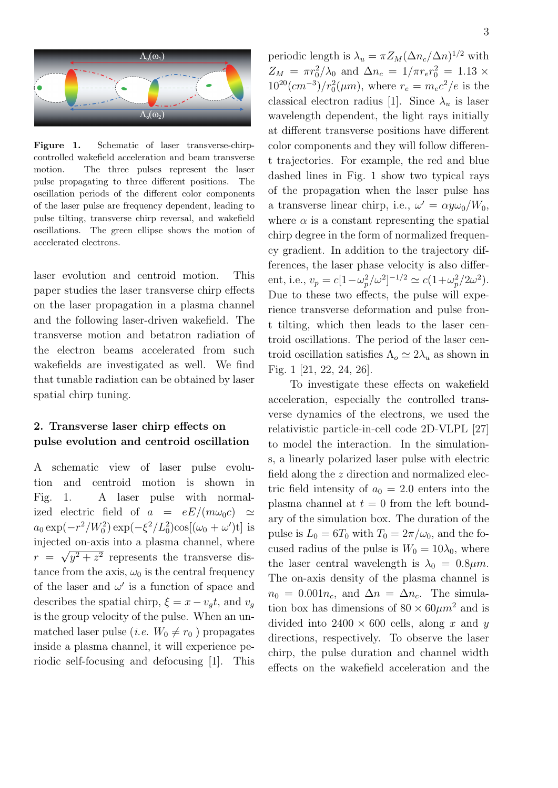

**Figure 1.** Schematic of laser transverse-chirpcontrolled wakefield acceleration and beam transverse motion. The three pulses represent the laser pulse propagating to three different positions. The oscillation periods of the different color components of the laser pulse are frequency dependent, leading to pulse tilting, transverse chirp reversal, and wakefield oscillations. The green ellipse shows the motion of accelerated electrons.

laser evolution and centroid motion. This paper studies the laser transverse chirp effects on the laser propagation in a plasma channel and the following laser-driven wakefield. The transverse motion and betatron radiation of the electron beams accelerated from such wakefields are investigated as well. We find that tunable radiation can be obtained by laser spatial chirp tuning.

### **2. Transverse laser chirp effects on pulse evolution and centroid oscillation**

A schematic view of laser pulse evolution and centroid motion is shown in Fig. 1. A laser pulse with normalized electric field of  $a = eE/(m\omega_0 c) \simeq$  $a_0 \exp(-r^2/W_0^2) \exp(-\xi^2/L_0^2) \cos[(\omega_0 + \omega')t]$  is injected on-axis into a plasma channel, where  $r = \sqrt{y^2 + z^2}$  represents the transverse distance from the axis,  $\omega_0$  is the central frequency of the laser and  $\omega'$  is a function of space and describes the spatial chirp,  $\xi = x - v_q t$ , and  $v_q$ is the group velocity of the pulse. When an unmatched laser pulse (*i.e.*  $W_0 \neq r_0$ ) propagates inside a plasma channel, it will experience periodic self-focusing and defocusing [1]. This

periodic length is  $\lambda_u = \pi Z_M (\Delta n_c / \Delta n)^{1/2}$  with  $Z_M = \pi r_0^2 / \lambda_0$  and  $\Delta n_c = 1 / \pi r_e r_0^2 = 1.13 \times 10^{-10}$  $10^{20}$ (*cm*<sup>-3</sup>)/ $r_0^2$ ( $\mu$ *m*), where  $r_e = m_e c^2/e$  is the classical electron radius [1]. Since  $\lambda_u$  is laser wavelength dependent, the light rays initially at different transverse positions have different color components and they will follow different trajectories. For example, the red and blue dashed lines in Fig. 1 show two typical rays of the propagation when the laser pulse has a transverse linear chirp, i.e.,  $\omega' = \alpha y \omega_0 / W_0$ , where  $\alpha$  is a constant representing the spatial chirp degree in the form of normalized frequency gradient. In addition to the trajectory differences, the laser phase velocity is also different, i.e.,  $v_p = c[1 - \omega_p^2/\omega^2]^{-1/2} \simeq c(1 + \omega_p^2/2\omega^2)$ . Due to these two effects, the pulse will experience transverse deformation and pulse front tilting, which then leads to the laser centroid oscillations. The period of the laser centroid oscillation satisfies  $\Lambda_o \simeq 2\lambda_u$  as shown in Fig. 1 [21, 22, 24, 26].

To investigate these effects on wakefield acceleration, especially the controlled transverse dynamics of the electrons, we used the relativistic particle-in-cell code 2D-VLPL [27] to model the interaction. In the simulations, a linearly polarized laser pulse with electric field along the *z* direction and normalized electric field intensity of  $a_0 = 2.0$  enters into the plasma channel at  $t = 0$  from the left boundary of the simulation box. The duration of the pulse is  $L_0 = 6T_0$  with  $T_0 = 2\pi/\omega_0$ , and the focused radius of the pulse is  $W_0 = 10\lambda_0$ , where the laser central wavelength is  $\lambda_0 = 0.8 \mu m$ . The on-axis density of the plasma channel is  $n_0 = 0.001n_c$ , and  $\Delta n = \Delta n_c$ . The simulation box has dimensions of  $80 \times 60 \mu m^2$  and is divided into  $2400 \times 600$  cells, along x and y directions, respectively. To observe the laser chirp, the pulse duration and channel width effects on the wakefield acceleration and the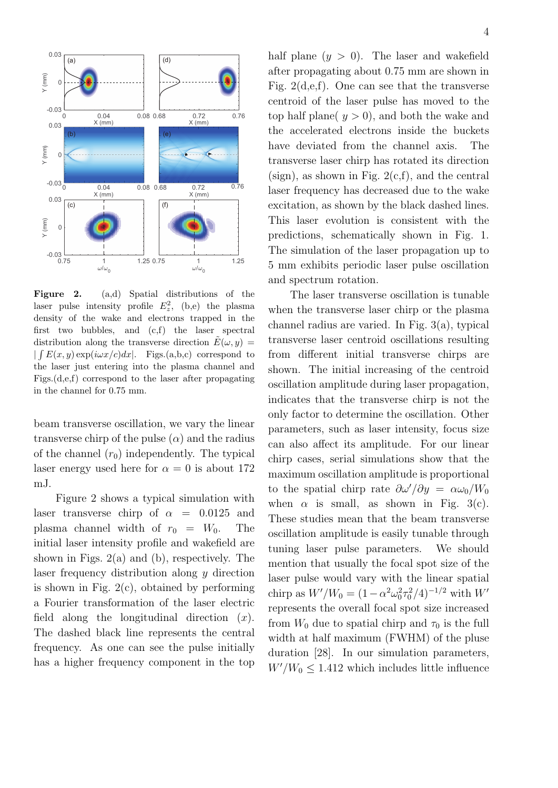

**Figure 2.** (a,d) Spatial distributions of the laser pulse intensity profile  $E_z^2$ , (b,e) the plasma density of the wake and electrons trapped in the first two bubbles, and (c,f) the laser spectral distribution along the transverse direction  $\tilde{E}(\omega, y) =$  $|$  ∫  $E(x, y)$  exp( $iωx/c$ )*dx*<sup>|</sup>. Figs.(a,b,c) correspond to the laser just entering into the plasma channel and Figs.(d,e,f) correspond to the laser after propagating in the channel for 0.75 mm.

beam transverse oscillation, we vary the linear transverse chirp of the pulse  $(\alpha)$  and the radius of the channel  $(r_0)$  independently. The typical laser energy used here for  $\alpha = 0$  is about 172 mJ.

Figure 2 shows a typical simulation with laser transverse chirp of  $\alpha = 0.0125$  and plasma channel width of  $r_0 = W_0$ . The initial laser intensity profile and wakefield are shown in Figs.  $2(a)$  and (b), respectively. The laser frequency distribution along *y* direction is shown in Fig.  $2(c)$ , obtained by performing a Fourier transformation of the laser electric field along the longitudinal direction (*x*). The dashed black line represents the central frequency. As one can see the pulse initially has a higher frequency component in the top half plane  $(y > 0)$ . The laser and wakefield after propagating about 0.75 mm are shown in Fig.  $2(d,e,f)$ . One can see that the transverse centroid of the laser pulse has moved to the top half plane( $y > 0$ ), and both the wake and the accelerated electrons inside the buckets have deviated from the channel axis. The transverse laser chirp has rotated its direction (sign), as shown in Fig.  $2(c,f)$ , and the central laser frequency has decreased due to the wake excitation, as shown by the black dashed lines. This laser evolution is consistent with the predictions, schematically shown in Fig. 1. The simulation of the laser propagation up to 5 mm exhibits periodic laser pulse oscillation and spectrum rotation.

The laser transverse oscillation is tunable when the transverse laser chirp or the plasma channel radius are varied. In Fig. 3(a), typical transverse laser centroid oscillations resulting from different initial transverse chirps are shown. The initial increasing of the centroid oscillation amplitude during laser propagation, indicates that the transverse chirp is not the only factor to determine the oscillation. Other parameters, such as laser intensity, focus size can also affect its amplitude. For our linear chirp cases, serial simulations show that the maximum oscillation amplitude is proportional to the spatial chirp rate  $\partial \omega' / \partial y = \alpha \omega_0 / W_0$ when  $\alpha$  is small, as shown in Fig. 3(c). These studies mean that the beam transverse oscillation amplitude is easily tunable through tuning laser pulse parameters. We should mention that usually the focal spot size of the laser pulse would vary with the linear spatial chirp as  $W'/W_0 = (1 - \alpha^2 \omega_0^2 \tau_0^2 / 4)^{-1/2}$  with  $W'$ represents the overall focal spot size increased from  $W_0$  due to spatial chirp and  $\tau_0$  is the full width at half maximum (FWHM) of the pluse duration [28]. In our simulation parameters,  $W'/W_0 \leq 1.412$  which includes little influence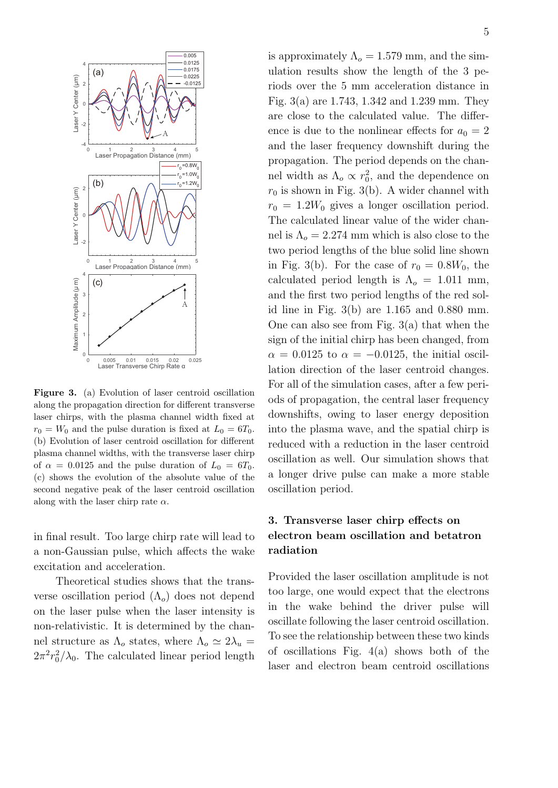

**Figure 3.** (a) Evolution of laser centroid oscillation along the propagation direction for different transverse laser chirps, with the plasma channel width fixed at  $r_0 = W_0$  and the pulse duration is fixed at  $L_0 = 6T_0$ . (b) Evolution of laser centroid oscillation for different plasma channel widths, with the transverse laser chirp of  $\alpha = 0.0125$  and the pulse duration of  $L_0 = 6T_0$ . (c) shows the evolution of the absolute value of the second negative peak of the laser centroid oscillation along with the laser chirp rate *α*.

in final result. Too large chirp rate will lead to a non-Gaussian pulse, which affects the wake excitation and acceleration.

Theoretical studies shows that the transverse oscillation period (Λ*o*) does not depend on the laser pulse when the laser intensity is non-relativistic. It is determined by the channel structure as  $\Lambda_o$  states, where  $\Lambda_o \simeq 2\lambda_u$  =  $2\pi^2 r_0^2/\lambda_0$ . The calculated linear period length

is approximately  $\Lambda_o = 1.579$  mm, and the simulation results show the length of the 3 periods over the 5 mm acceleration distance in Fig. 3(a) are 1.743, 1.342 and 1.239 mm. They are close to the calculated value. The difference is due to the nonlinear effects for  $a_0 = 2$ and the laser frequency downshift during the propagation. The period depends on the channel width as  $\Lambda_o \propto r_0^2$ , and the dependence on  $r_0$  is shown in Fig. 3(b). A wider channel with  $r_0 = 1.2W_0$  gives a longer oscillation period. The calculated linear value of the wider channel is  $\Lambda_o = 2.274$  mm which is also close to the two period lengths of the blue solid line shown in Fig. 3(b). For the case of  $r_0 = 0.8W_0$ , the calculated period length is  $\Lambda_o = 1.011$  mm, and the first two period lengths of the red solid line in Fig. 3(b) are 1.165 and 0.880 mm. One can also see from Fig. 3(a) that when the sign of the initial chirp has been changed, from  $\alpha = 0.0125$  to  $\alpha = -0.0125$ , the initial oscillation direction of the laser centroid changes. For all of the simulation cases, after a few periods of propagation, the central laser frequency downshifts, owing to laser energy deposition into the plasma wave, and the spatial chirp is reduced with a reduction in the laser centroid oscillation as well. Our simulation shows that a longer drive pulse can make a more stable oscillation period.

## **3. Transverse laser chirp effects on electron beam oscillation and betatron radiation**

Provided the laser oscillation amplitude is not too large, one would expect that the electrons in the wake behind the driver pulse will oscillate following the laser centroid oscillation. To see the relationship between these two kinds of oscillations Fig. 4(a) shows both of the laser and electron beam centroid oscillations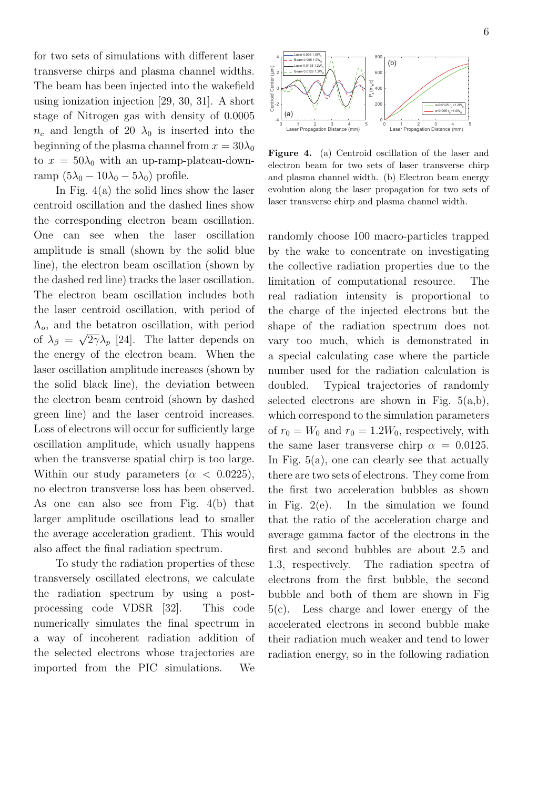for two sets of simulations with different laser transverse chirps and plasma channel widths. The beam has been injected into the wakefield using ionization injection [29, 30, 31]. A short stage of Nitrogen gas with density of 0.0005  $n_c$  and length of 20  $\lambda_0$  is inserted into the beginning of the plasma channel from  $x = 30\lambda_0$ to  $x = 50\lambda_0$  with an up-ramp-plateau-downramp  $(5\lambda_0 - 10\lambda_0 - 5\lambda_0)$  profile.

In Fig. 4(a) the solid lines show the laser centroid oscillation and the dashed lines show the corresponding electron beam oscillation. One can see when the laser oscillation amplitude is small (shown by the solid blue line), the electron beam oscillation (shown by the dashed red line) tracks the laser oscillation. The electron beam oscillation includes both the laser centroid oscillation, with period of Λ*o*, and the betatron oscillation, with period of  $\lambda_{\beta} = \sqrt{2\gamma} \lambda_p$  [24]. The latter depends on the energy of the electron beam. When the laser oscillation amplitude increases (shown by the solid black line), the deviation between the electron beam centroid (shown by dashed green line) and the laser centroid increases. Loss of electrons will occur for sufficiently large oscillation amplitude, which usually happens when the transverse spatial chirp is too large. Within our study parameters  $(\alpha < 0.0225)$ , no electron transverse loss has been observed. As one can also see from Fig. 4(b) that larger amplitude oscillations lead to smaller the average acceleration gradient. This would also affect the final radiation spectrum.

To study the radiation properties of these transversely oscillated electrons, we calculate the radiation spectrum by using a postprocessing code VDSR [32]. This code numerically simulates the final spectrum in a way of incoherent radiation addition of the selected electrons whose trajectories are imported from the PIC simulations. We



**Figure 4.** (a) Centroid oscillation of the laser and electron beam for two sets of laser transverse chirp and plasma channel width. (b) Electron beam energy evolution along the laser propagation for two sets of laser transverse chirp and plasma channel width.

randomly choose 100 macro-particles trapped by the wake to concentrate on investigating the collective radiation properties due to the limitation of computational resource. The real radiation intensity is proportional to the charge of the injected electrons but the shape of the radiation spectrum does not vary too much, which is demonstrated in a special calculating case where the particle number used for the radiation calculation is doubled. Typical trajectories of randomly selected electrons are shown in Fig.  $5(a,b)$ , which correspond to the simulation parameters of  $r_0 = W_0$  and  $r_0 = 1.2W_0$ , respectively, with the same laser transverse chirp  $\alpha = 0.0125$ . In Fig. 5(a), one can clearly see that actually there are two sets of electrons. They come from the first two acceleration bubbles as shown in Fig. 2(e). In the simulation we found that the ratio of the acceleration charge and average gamma factor of the electrons in the first and second bubbles are about 2.5 and 1.3, respectively. The radiation spectra of electrons from the first bubble, the second bubble and both of them are shown in Fig 5(c). Less charge and lower energy of the accelerated electrons in second bubble make their radiation much weaker and tend to lower radiation energy, so in the following radiation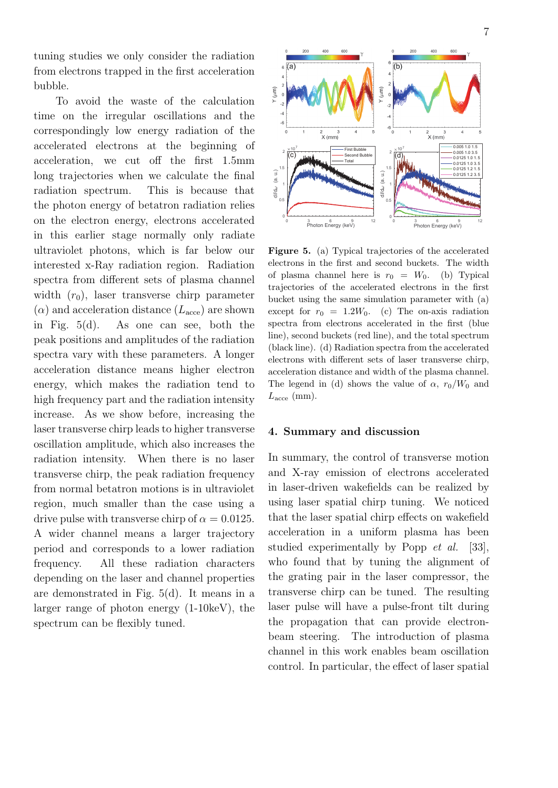tuning studies we only consider the radiation from electrons trapped in the first acceleration bubble.

To avoid the waste of the calculation time on the irregular oscillations and the correspondingly low energy radiation of the accelerated electrons at the beginning of acceleration, we cut off the first 1*.*5mm long trajectories when we calculate the final radiation spectrum. This is because that the photon energy of betatron radiation relies on the electron energy, electrons accelerated in this earlier stage normally only radiate ultraviolet photons, which is far below our interested x-Ray radiation region. Radiation spectra from different sets of plasma channel width  $(r_0)$ , laser transverse chirp parameter  $(\alpha)$  and acceleration distance  $(L_{\text{acce}})$  are shown in Fig. 5(d). As one can see, both the peak positions and amplitudes of the radiation spectra vary with these parameters. A longer acceleration distance means higher electron energy, which makes the radiation tend to high frequency part and the radiation intensity increase. As we show before, increasing the laser transverse chirp leads to higher transverse oscillation amplitude, which also increases the radiation intensity. When there is no laser transverse chirp, the peak radiation frequency from normal betatron motions is in ultraviolet region, much smaller than the case using a drive pulse with transverse chirp of  $\alpha = 0.0125$ . A wider channel means a larger trajectory period and corresponds to a lower radiation frequency. All these radiation characters depending on the laser and channel properties are demonstrated in Fig. 5(d). It means in a larger range of photon energy (1-10keV), the spectrum can be flexibly tuned.



**Figure 5.** (a) Typical trajectories of the accelerated electrons in the first and second buckets. The width of plasma channel here is  $r_0 = W_0$ . (b) Typical trajectories of the accelerated electrons in the first bucket using the same simulation parameter with (a) except for  $r_0 = 1.2W_0$ . (c) The on-axis radiation spectra from electrons accelerated in the first (blue line), second buckets (red line), and the total spectrum (black line). (d) Radiation spectra from the accelerated electrons with different sets of laser transverse chirp, acceleration distance and width of the plasma channel. The legend in (d) shows the value of  $\alpha$ ,  $r_0/W_0$  and  $L<sub>acce</sub>$  (mm).

#### **4. Summary and discussion**

In summary, the control of transverse motion and X-ray emission of electrons accelerated in laser-driven wakefields can be realized by using laser spatial chirp tuning. We noticed that the laser spatial chirp effects on wakefield acceleration in a uniform plasma has been studied experimentally by Popp *et al.* [33], who found that by tuning the alignment of the grating pair in the laser compressor, the transverse chirp can be tuned. The resulting laser pulse will have a pulse-front tilt during the propagation that can provide electronbeam steering. The introduction of plasma channel in this work enables beam oscillation control. In particular, the effect of laser spatial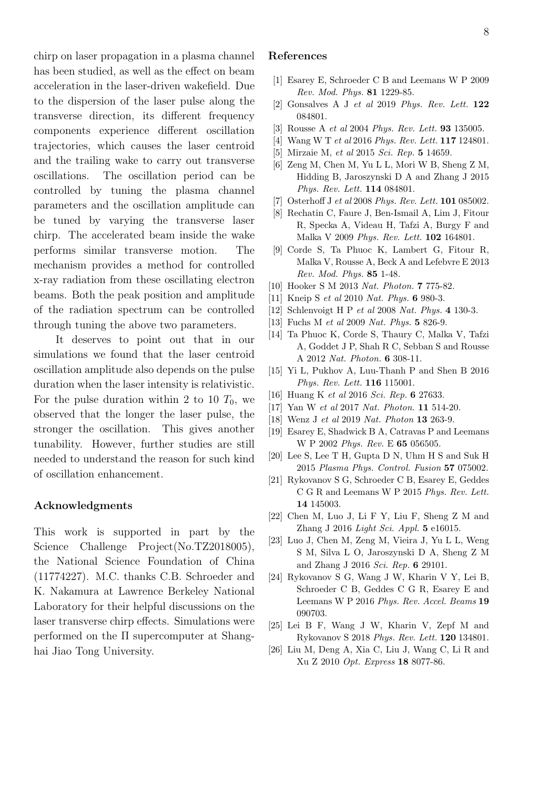chirp on laser propagation in a plasma channel has been studied, as well as the effect on beam acceleration in the laser-driven wakefield. Due to the dispersion of the laser pulse along the transverse direction, its different frequency components experience different oscillation trajectories, which causes the laser centroid and the trailing wake to carry out transverse oscillations. The oscillation period can be controlled by tuning the plasma channel parameters and the oscillation amplitude can be tuned by varying the transverse laser chirp. The accelerated beam inside the wake performs similar transverse motion. The mechanism provides a method for controlled x-ray radiation from these oscillating electron beams. Both the peak position and amplitude of the radiation spectrum can be controlled through tuning the above two parameters.

It deserves to point out that in our simulations we found that the laser centroid oscillation amplitude also depends on the pulse duration when the laser intensity is relativistic. For the pulse duration within 2 to 10  $T_0$ , we observed that the longer the laser pulse, the stronger the oscillation. This gives another tunability. However, further studies are still needed to understand the reason for such kind of oscillation enhancement.

### **Acknowledgments**

This work is supported in part by the Science Challenge Project(No.TZ2018005), the National Science Foundation of China (11774227). M.C. thanks C.B. Schroeder and K. Nakamura at Lawrence Berkeley National Laboratory for their helpful discussions on the laser transverse chirp effects. Simulations were performed on the  $\Pi$  supercomputer at Shanghai Jiao Tong University.

### **References**

- [1] Esarey E, Schroeder C B and Leemans W P 2009 *Rev. Mod. Phys.* **81** 1229-85.
- [2] Gonsalves A J *et al* 2019 *Phys. Rev. Lett.* **122** 084801.
- [3] Rousse A *et al* 2004 *Phys. Rev. Lett.* **93** 135005.
- [4] Wang W T *et al* 2016 *Phys. Rev. Lett.* **117** 124801.
- [5] Mirzaie M, *et al* 2015 *Sci. Rep.* **5** 14659.
- [6] Zeng M, Chen M, Yu L L, Mori W B, Sheng Z M, Hidding B, Jaroszynski D A and Zhang J 2015 *Phys. Rev. Lett.* **114** 084801.
- [7] Osterhoff J *et al* 2008 *Phys. Rev. Lett.* **101** 085002.
- [8] Rechatin C, Faure J, Ben-Ismail A, Lim J, Fitour R, Specka A, Videau H, Tafzi A, Burgy F and Malka V 2009 *Phys. Rev. Lett.* **102** 164801.
- [9] Corde S, Ta Phuoc K, Lambert G, Fitour R, Malka V, Rousse A, Beck A and Lefebvre E 2013 *Rev. Mod. Phys.* **85** 1-48.
- [10] Hooker S M 2013 *Nat. Photon.* **7** 775-82.
- [11] Kneip S *et al* 2010 *Nat. Phys.* **6** 980-3.
- [12] Schlenvoigt H P *et al* 2008 *Nat. Phys.* **4** 130-3.
- [13] Fuchs M *et al* 2009 *Nat. Phys.* **5** 826-9.
- [14] Ta Phuoc K, Corde S, Thaury C, Malka V, Tafzi A, Goddet J P, Shah R C, Sebban S and Rousse A 2012 *Nat. Photon.* **6** 308-11.
- [15] Yi L, Pukhov A, Luu-Thanh P and Shen B 2016 *Phys. Rev. Lett.* **116** 115001.
- [16] Huang K *et al* 2016 *Sci. Rep.* **6** 27633.
- [17] Yan W *et al* 2017 *Nat. Photon.* **11** 514-20.
- [18] Wenz J *et al* 2019 *Nat. Photon* **13** 263-9.
- [19] Esarey E, Shadwick B A, Catravas P and Leemans W P 2002 *Phys. Rev.* E **65** 056505.
- [20] Lee S, Lee T H, Gupta D N, Uhm H S and Suk H 2015 *Plasma Phys. Control. Fusion* **57** 075002.
- [21] Rykovanov S G, Schroeder C B, Esarey E, Geddes C G R and Leemans W P 2015 *Phys. Rev. Lett.* **14** 145003.
- [22] Chen M, Luo J, Li F Y, Liu F, Sheng Z M and Zhang J 2016 *Light Sci. Appl.* **5** e16015.
- [23] Luo J, Chen M, Zeng M, Vieira J, Yu L L, Weng S M, Silva L O, Jaroszynski D A, Sheng Z M and Zhang J 2016 *Sci. Rep.* **6** 29101.
- [24] Rykovanov S G, Wang J W, Kharin V Y, Lei B, Schroeder C B, Geddes C G R, Esarey E and Leemans W P 2016 *Phys. Rev. Accel. Beams* **19** 090703.
- [25] Lei B F, Wang J W, Kharin V, Zepf M and Rykovanov S 2018 *Phys. Rev. Lett.* **120** 134801.
- [26] Liu M, Deng A, Xia C, Liu J, Wang C, Li R and Xu Z 2010 *Opt. Express* **18** 8077-86.